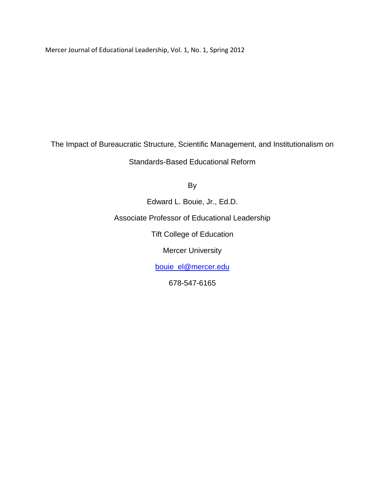Mercer Journal of Educational Leadership, Vol. 1, No. 1, Spring 2012

The Impact of Bureaucratic Structure, Scientific Management, and Institutionalism on

Standards-Based Educational Reform

By

Edward L. Bouie, Jr., Ed.D. Associate Professor of Educational Leadership Tift College of Education Mercer University [bouie\\_el@mercer.edu](mailto:bouie_el@mercer.edu)

678-547-6165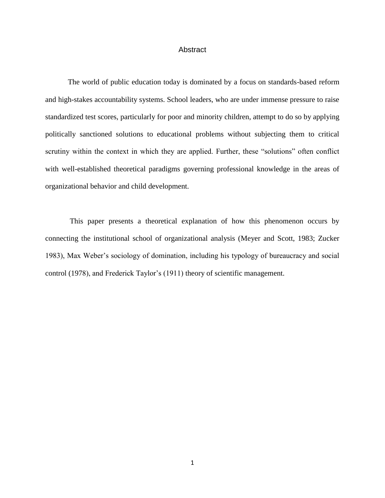# **Abstract**

The world of public education today is dominated by a focus on standards-based reform and high-stakes accountability systems. School leaders, who are under immense pressure to raise standardized test scores, particularly for poor and minority children, attempt to do so by applying politically sanctioned solutions to educational problems without subjecting them to critical scrutiny within the context in which they are applied. Further, these "solutions" often conflict with well-established theoretical paradigms governing professional knowledge in the areas of organizational behavior and child development.

This paper presents a theoretical explanation of how this phenomenon occurs by connecting the institutional school of organizational analysis (Meyer and Scott, 1983; Zucker 1983), Max Weber's sociology of domination, including his typology of bureaucracy and social control (1978), and Frederick Taylor's (1911) theory of scientific management.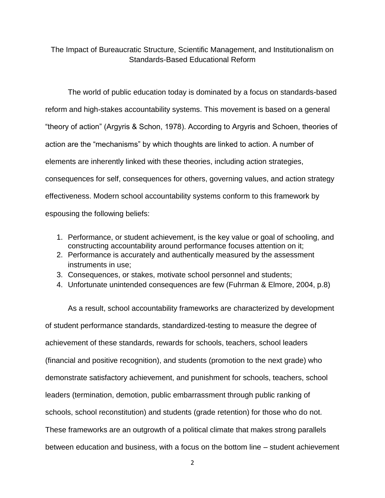The Impact of Bureaucratic Structure, Scientific Management, and Institutionalism on Standards-Based Educational Reform

The world of public education today is dominated by a focus on standards-based reform and high-stakes accountability systems. This movement is based on a general ―theory of action‖ (Argyris & Schon, 1978). According to Argyris and Schoen, theories of action are the "mechanisms" by which thoughts are linked to action. A number of elements are inherently linked with these theories, including action strategies, consequences for self, consequences for others, governing values, and action strategy effectiveness. Modern school accountability systems conform to this framework by espousing the following beliefs:

- 1. Performance, or student achievement, is the key value or goal of schooling, and constructing accountability around performance focuses attention on it;
- 2. Performance is accurately and authentically measured by the assessment instruments in use;
- 3. Consequences, or stakes, motivate school personnel and students;
- 4. Unfortunate unintended consequences are few (Fuhrman & Elmore, 2004, p.8)

As a result, school accountability frameworks are characterized by development of student performance standards, standardized-testing to measure the degree of achievement of these standards, rewards for schools, teachers, school leaders (financial and positive recognition), and students (promotion to the next grade) who demonstrate satisfactory achievement, and punishment for schools, teachers, school leaders (termination, demotion, public embarrassment through public ranking of schools, school reconstitution) and students (grade retention) for those who do not. These frameworks are an outgrowth of a political climate that makes strong parallels between education and business, with a focus on the bottom line – student achievement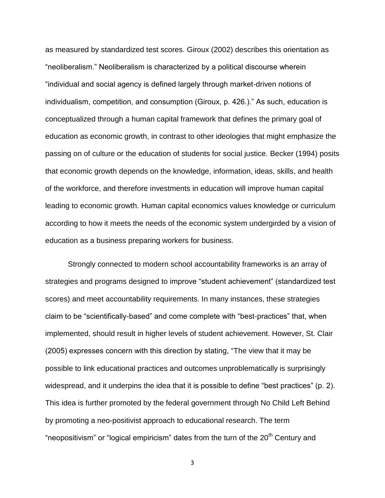as measured by standardized test scores. Giroux (2002) describes this orientation as ―neoliberalism.‖ Neoliberalism is characterized by a political discourse wherein ―individual and social agency is defined largely through market-driven notions of individualism, competition, and consumption (Giroux, p. 426.)." As such, education is conceptualized through a human capital framework that defines the primary goal of education as economic growth, in contrast to other ideologies that might emphasize the passing on of culture or the education of students for social justice. Becker (1994) posits that economic growth depends on the knowledge, information, ideas, skills, and health of the workforce, and therefore investments in education will improve human capital leading to economic growth. Human capital economics values knowledge or curriculum according to how it meets the needs of the economic system undergirded by a vision of education as a business preparing workers for business.

Strongly connected to modern school accountability frameworks is an array of strategies and programs designed to improve "student achievement" (standardized test scores) and meet accountability requirements. In many instances, these strategies claim to be "scientifically-based" and come complete with "best-practices" that, when implemented, should result in higher levels of student achievement. However, St. Clair (2005) expresses concern with this direction by stating, "The view that it may be possible to link educational practices and outcomes unproblematically is surprisingly widespread, and it underpins the idea that it is possible to define "best practices" (p. 2). This idea is further promoted by the federal government through No Child Left Behind by promoting a neo-positivist approach to educational research. The term "neopositivism" or "logical empiricism" dates from the turn of the 20<sup>th</sup> Century and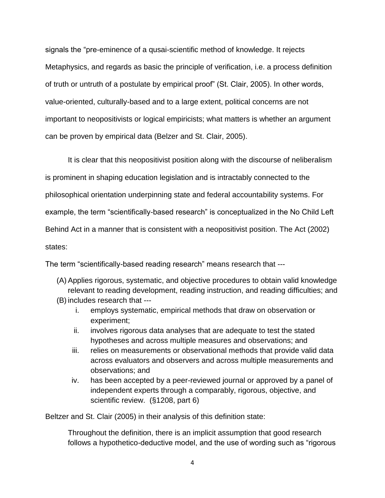signals the "pre-eminence of a qusai-scientific method of knowledge. It rejects Metaphysics, and regards as basic the principle of verification, i.e. a process definition of truth or untruth of a postulate by empirical proof" (St. Clair, 2005). In other words, value-oriented, culturally-based and to a large extent, political concerns are not important to neopositivists or logical empiricists; what matters is whether an argument can be proven by empirical data (Belzer and St. Clair, 2005).

It is clear that this neopositivist position along with the discourse of neliberalism is prominent in shaping education legislation and is intractably connected to the philosophical orientation underpinning state and federal accountability systems. For example, the term "scientifically-based research" is conceptualized in the No Child Left Behind Act in a manner that is consistent with a neopositivist position. The Act (2002) states:

The term "scientifically-based reading research" means research that ---

- (A)Applies rigorous, systematic, and objective procedures to obtain valid knowledge relevant to reading development, reading instruction, and reading difficulties; and (B) includes research that --
	- i. employs systematic, empirical methods that draw on observation or experiment;
	- ii. involves rigorous data analyses that are adequate to test the stated hypotheses and across multiple measures and observations; and
	- iii. relies on measurements or observational methods that provide valid data across evaluators and observers and across multiple measurements and observations; and
	- iv. has been accepted by a peer-reviewed journal or approved by a panel of independent experts through a comparably, rigorous, objective, and scientific review. (§1208, part 6)

Beltzer and St. Clair (2005) in their analysis of this definition state:

Throughout the definition, there is an implicit assumption that good research follows a hypothetico-deductive model, and the use of wording such as "rigorous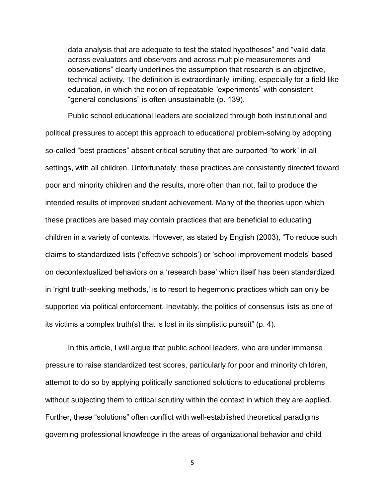data analysis that are adequate to test the stated hypotheses" and "valid data across evaluators and observers and across multiple measurements and observations" clearly underlines the assumption that research is an objective, technical activity. The definition is extraordinarily limiting, especially for a field like education, in which the notion of repeatable "experiments" with consistent "general conclusions" is often unsustainable (p. 139).

Public school educational leaders are socialized through both institutional and political pressures to accept this approach to educational problem-solving by adopting so-called "best practices" absent critical scrutiny that are purported "to work" in all settings, with all children. Unfortunately, these practices are consistently directed toward poor and minority children and the results, more often than not, fail to produce the intended results of improved student achievement. Many of the theories upon which these practices are based may contain practices that are beneficial to educating children in a variety of contexts. However, as stated by English (2003), "To reduce such claims to standardized lists (‗effective schools') or ‗school improvement models' based on decontextualized behaviors on a 'research base' which itself has been standardized in 'right truth-seeking methods,' is to resort to hegemonic practices which can only be supported via political enforcement. Inevitably, the politics of consensus lists as one of its victims a complex truth(s) that is lost in its simplistic pursuit" (p. 4).

In this article, I will argue that public school leaders, who are under immense pressure to raise standardized test scores, particularly for poor and minority children, attempt to do so by applying politically sanctioned solutions to educational problems without subjecting them to critical scrutiny within the context in which they are applied. Further, these "solutions" often conflict with well-established theoretical paradigms governing professional knowledge in the areas of organizational behavior and child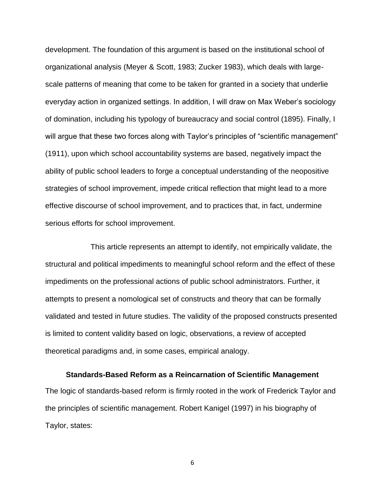development. The foundation of this argument is based on the institutional school of organizational analysis (Meyer & Scott, 1983; Zucker 1983), which deals with largescale patterns of meaning that come to be taken for granted in a society that underlie everyday action in organized settings. In addition, I will draw on Max Weber's sociology of domination, including his typology of bureaucracy and social control (1895). Finally, I will argue that these two forces along with Taylor's principles of "scientific management" (1911), upon which school accountability systems are based, negatively impact the ability of public school leaders to forge a conceptual understanding of the neopositive strategies of school improvement, impede critical reflection that might lead to a more effective discourse of school improvement, and to practices that, in fact, undermine serious efforts for school improvement.

This article represents an attempt to identify, not empirically validate, the structural and political impediments to meaningful school reform and the effect of these impediments on the professional actions of public school administrators. Further, it attempts to present a nomological set of constructs and theory that can be formally validated and tested in future studies. The validity of the proposed constructs presented is limited to content validity based on logic, observations, a review of accepted theoretical paradigms and, in some cases, empirical analogy.

#### **Standards-Based Reform as a Reincarnation of Scientific Management**

The logic of standards-based reform is firmly rooted in the work of Frederick Taylor and the principles of scientific management. Robert Kanigel (1997) in his biography of Taylor, states: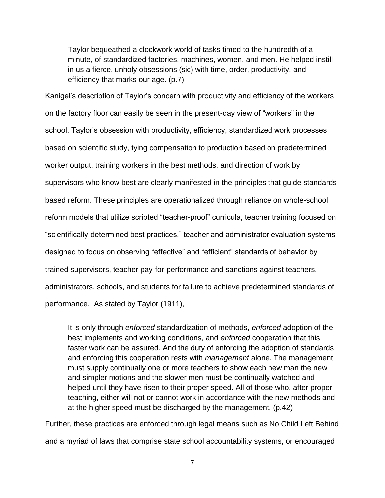Taylor bequeathed a clockwork world of tasks timed to the hundredth of a minute, of standardized factories, machines, women, and men. He helped instill in us a fierce, unholy obsessions (sic) with time, order, productivity, and efficiency that marks our age. (p.7)

Kanigel's description of Taylor's concern with productivity and efficiency of the workers on the factory floor can easily be seen in the present-day view of "workers" in the school. Taylor's obsession with productivity, efficiency, standardized work processes based on scientific study, tying compensation to production based on predetermined worker output, training workers in the best methods, and direction of work by supervisors who know best are clearly manifested in the principles that guide standardsbased reform. These principles are operationalized through reliance on whole-school reform models that utilize scripted "teacher-proof" curricula, teacher training focused on ―scientifically-determined best practices,‖ teacher and administrator evaluation systems designed to focus on observing "effective" and "efficient" standards of behavior by trained supervisors, teacher pay-for-performance and sanctions against teachers, administrators, schools, and students for failure to achieve predetermined standards of performance. As stated by Taylor (1911),

It is only through *enforced* standardization of methods, *enforced* adoption of the best implements and working conditions, and *enforced* cooperation that this faster work can be assured. And the duty of enforcing the adoption of standards and enforcing this cooperation rests with *management* alone. The management must supply continually one or more teachers to show each new man the new and simpler motions and the slower men must be continually watched and helped until they have risen to their proper speed. All of those who, after proper teaching, either will not or cannot work in accordance with the new methods and at the higher speed must be discharged by the management. (p.42)

Further, these practices are enforced through legal means such as No Child Left Behind and a myriad of laws that comprise state school accountability systems, or encouraged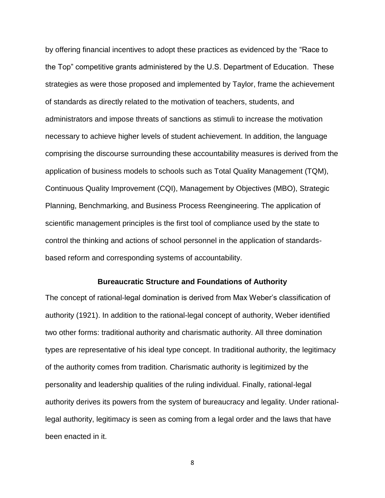by offering financial incentives to adopt these practices as evidenced by the "Race to" the Top" competitive grants administered by the U.S. Department of Education. These strategies as were those proposed and implemented by Taylor, frame the achievement of standards as directly related to the motivation of teachers, students, and administrators and impose threats of sanctions as stimuli to increase the motivation necessary to achieve higher levels of student achievement. In addition, the language comprising the discourse surrounding these accountability measures is derived from the application of business models to schools such as Total Quality Management (TQM), Continuous Quality Improvement (CQI), Management by Objectives (MBO), Strategic Planning, Benchmarking, and Business Process Reengineering. The application of scientific management principles is the first tool of compliance used by the state to control the thinking and actions of school personnel in the application of standardsbased reform and corresponding systems of accountability.

# **Bureaucratic Structure and Foundations of Authority**

The concept of rational-legal domination is derived from Max Weber's classification of authority (1921). In addition to the rational-legal concept of authority, Weber identified two other forms: traditional authority and charismatic authority. All three domination types are representative of his ideal type concept. In traditional authority, the legitimacy of the authority comes from tradition. Charismatic authority is legitimized by the personality and leadership qualities of the ruling individual. Finally, rational-legal authority derives its powers from the system of bureaucracy and legality. Under rationallegal authority, legitimacy is seen as coming from a legal order and the laws that have been enacted in it.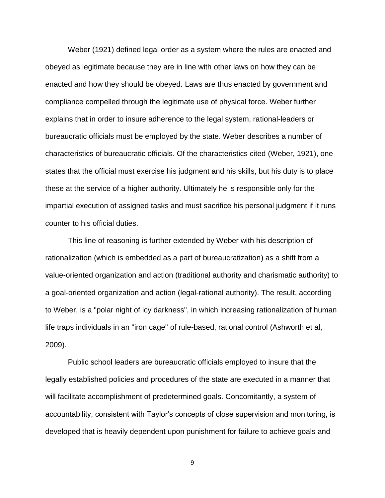Weber (1921) defined legal order as a system where the rules are enacted and obeyed as legitimate because they are in line with other laws on how they can be enacted and how they should be obeyed. Laws are thus enacted by government and compliance compelled through the legitimate use of physical force. Weber further explains that in order to insure adherence to the legal system, rational-leaders or bureaucratic officials must be employed by the state. Weber describes a number of characteristics of bureaucratic officials. Of the characteristics cited (Weber, 1921), one states that the official must exercise his judgment and his skills, but his duty is to place these at the service of a higher authority. Ultimately he is responsible only for the impartial execution of assigned tasks and must sacrifice his personal judgment if it runs counter to his official duties.

This line of reasoning is further extended by Weber with his description of rationalization (which is embedded as a part of bureaucratization) as a shift from a value-oriented organization and action (traditional authority and charismatic authority) to a goal-oriented organization and action (legal-rational authority). The result, according to Weber, is a "polar night of icy darkness", in which increasing rationalization of human life traps individuals in an "iron cage" of rule-based, rational control (Ashworth et al, 2009).

Public school leaders are bureaucratic officials employed to insure that the legally established policies and procedures of the state are executed in a manner that will facilitate accomplishment of predetermined goals. Concomitantly, a system of accountability, consistent with Taylor's concepts of close supervision and monitoring, is developed that is heavily dependent upon punishment for failure to achieve goals and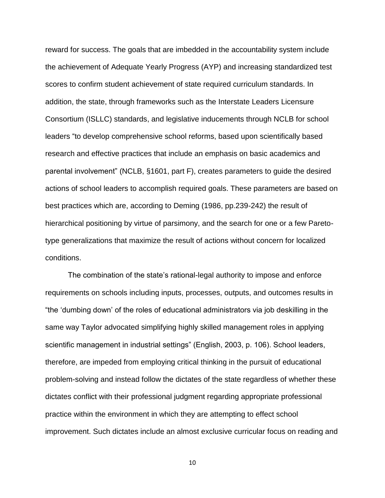reward for success. The goals that are imbedded in the accountability system include the achievement of Adequate Yearly Progress (AYP) and increasing standardized test scores to confirm student achievement of state required curriculum standards. In addition, the state, through frameworks such as the Interstate Leaders Licensure Consortium (ISLLC) standards, and legislative inducements through NCLB for school leaders "to develop comprehensive school reforms, based upon scientifically based research and effective practices that include an emphasis on basic academics and parental involvement" (NCLB, §1601, part F), creates parameters to guide the desired actions of school leaders to accomplish required goals. These parameters are based on best practices which are, according to Deming (1986, pp.239-242) the result of hierarchical positioning by virtue of parsimony, and the search for one or a few Paretotype generalizations that maximize the result of actions without concern for localized conditions.

The combination of the state's rational-legal authority to impose and enforce requirements on schools including inputs, processes, outputs, and outcomes results in ―the ‗dumbing down' of the roles of educational administrators via job deskilling in the same way Taylor advocated simplifying highly skilled management roles in applying scientific management in industrial settings" (English, 2003, p. 106). School leaders, therefore, are impeded from employing critical thinking in the pursuit of educational problem-solving and instead follow the dictates of the state regardless of whether these dictates conflict with their professional judgment regarding appropriate professional practice within the environment in which they are attempting to effect school improvement. Such dictates include an almost exclusive curricular focus on reading and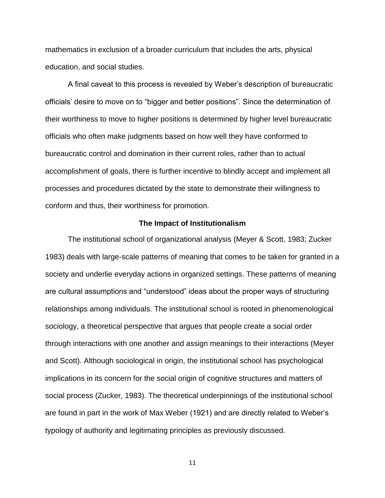mathematics in exclusion of a broader curriculum that includes the arts, physical education, and social studies.

A final caveat to this process is revealed by Weber's description of bureaucratic officials' desire to move on to "bigger and better positions". Since the determination of their worthiness to move to higher positions is determined by higher level bureaucratic officials who often make judgments based on how well they have conformed to bureaucratic control and domination in their current roles, rather than to actual accomplishment of goals, there is further incentive to blindly accept and implement all processes and procedures dictated by the state to demonstrate their willingness to conform and thus, their worthiness for promotion.

### **The Impact of Institutionalism**

The institutional school of organizational analysis (Meyer & Scott, 1983; Zucker 1983) deals with large-scale patterns of meaning that comes to be taken for granted in a society and underlie everyday actions in organized settings. These patterns of meaning are cultural assumptions and "understood" ideas about the proper ways of structuring relationships among individuals. The institutional school is rooted in phenomenological sociology, a theoretical perspective that argues that people create a social order through interactions with one another and assign meanings to their interactions (Meyer and Scott). Although sociological in origin, the institutional school has psychological implications in its concern for the social origin of cognitive structures and matters of social process (Zucker, 1983). The theoretical underpinnings of the institutional school are found in part in the work of Max Weber (1921) and are directly related to Weber's typology of authority and legitimating principles as previously discussed.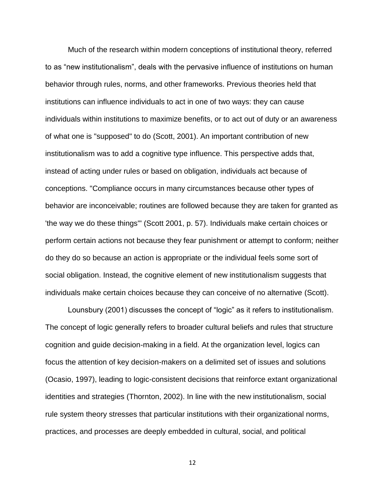Much of the research within modern conceptions of institutional theory, referred to as "new institutionalism", deals with the pervasive influence of institutions on human behavior through rules, norms, and other frameworks. Previous theories held that institutions can influence individuals to act in one of two ways: they can cause individuals within institutions to maximize benefits, or to act out of duty or an awareness of what one is "supposed" to do (Scott, 2001). An important contribution of new institutionalism was to add a cognitive type influence. This perspective adds that, instead of acting under rules or based on obligation, individuals act because of conceptions. "Compliance occurs in many circumstances because other types of behavior are inconceivable; routines are followed because they are taken for granted as 'the way we do these things'" (Scott 2001, p. 57). Individuals make certain choices or perform certain actions not because they fear punishment or attempt to conform; neither do they do so because an action is appropriate or the individual feels some sort of social obligation. Instead, the cognitive element of new institutionalism suggests that individuals make certain choices because they can conceive of no alternative (Scott).

Lounsbury (2001) discusses the concept of "logic" as it refers to institutionalism. The concept of logic generally refers to broader cultural beliefs and rules that structure cognition and guide decision-making in a field. At the organization level, logics can focus the attention of key decision-makers on a delimited set of issues and solutions (Ocasio, 1997), leading to logic-consistent decisions that reinforce extant organizational identities and strategies (Thornton, 2002). In line with the new institutionalism, social rule system theory stresses that particular institutions with their organizational norms, practices, and processes are deeply embedded in cultural, social, and political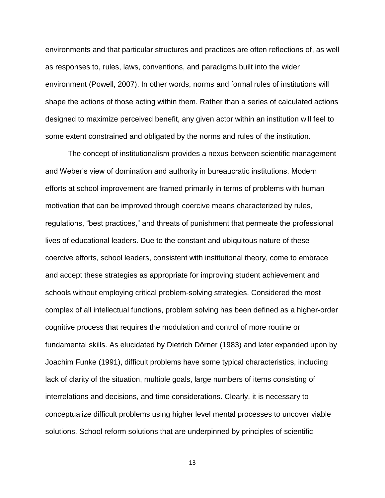environments and that particular structures and practices are often reflections of, as well as responses to, rules, laws, conventions, and paradigms built into the wider environment (Powell, 2007). In other words, norms and formal rules of institutions will shape the actions of those acting within them. Rather than a series of calculated actions designed to maximize perceived benefit, any given actor within an institution will feel to some extent constrained and obligated by the norms and rules of the institution.

The concept of institutionalism provides a nexus between scientific management and Weber's view of domination and authority in bureaucratic institutions. Modern efforts at school improvement are framed primarily in terms of problems with human motivation that can be improved through coercive means characterized by rules, regulations, "best practices," and threats of punishment that permeate the professional lives of educational leaders. Due to the constant and ubiquitous nature of these coercive efforts, school leaders, consistent with institutional theory, come to embrace and accept these strategies as appropriate for improving student achievement and schools without employing critical problem-solving strategies. Considered the most complex of all intellectual functions, problem solving has been defined as a higher-order cognitive process that requires the modulation and control of more routine or fundamental skills. As elucidated by Dietrich Dörner (1983) and later expanded upon by Joachim Funke (1991), difficult problems have some typical characteristics, including lack of clarity of the situation, multiple goals, large numbers of items consisting of interrelations and decisions, and time considerations. Clearly, it is necessary to conceptualize difficult problems using higher level mental processes to uncover viable solutions. School reform solutions that are underpinned by principles of scientific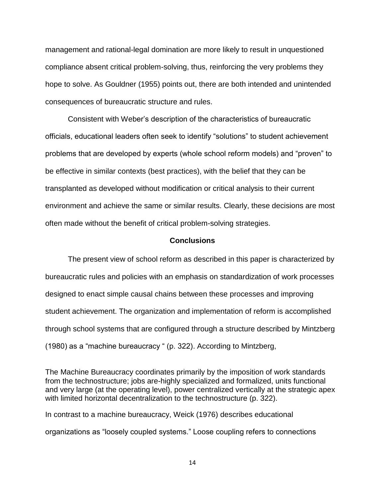management and rational-legal domination are more likely to result in unquestioned compliance absent critical problem-solving, thus, reinforcing the very problems they hope to solve. As Gouldner (1955) points out, there are both intended and unintended consequences of bureaucratic structure and rules.

Consistent with Weber's description of the characteristics of bureaucratic officials, educational leaders often seek to identify "solutions" to student achievement problems that are developed by experts (whole school reform models) and "proven" to be effective in similar contexts (best practices), with the belief that they can be transplanted as developed without modification or critical analysis to their current environment and achieve the same or similar results. Clearly, these decisions are most often made without the benefit of critical problem-solving strategies.

### **Conclusions**

The present view of school reform as described in this paper is characterized by bureaucratic rules and policies with an emphasis on standardization of work processes designed to enact simple causal chains between these processes and improving student achievement. The organization and implementation of reform is accomplished through school systems that are configured through a structure described by Mintzberg  $(1980)$  as a "machine bureaucracy  $(1922)$ . According to Mintzberg,

The Machine Bureaucracy coordinates primarily by the imposition of work standards from the technostructure; jobs are-highly specialized and formalized, units functional and very large (at the operating level), power centralized vertically at the strategic apex with limited horizontal decentralization to the technostructure (p. 322).

In contrast to a machine bureaucracy, Weick (1976) describes educational organizations as "loosely coupled systems." Loose coupling refers to connections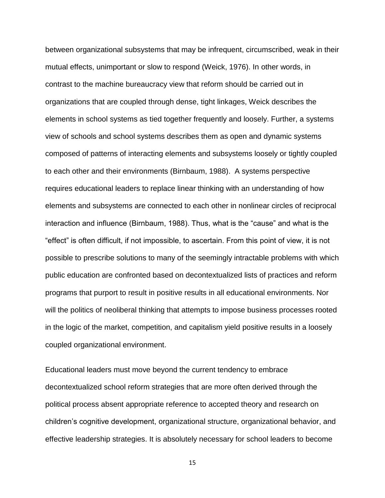between organizational subsystems that may be infrequent, circumscribed, weak in their mutual effects, unimportant or slow to respond (Weick, 1976). In other words, in contrast to the machine bureaucracy view that reform should be carried out in organizations that are coupled through dense, tight linkages, Weick describes the elements in school systems as tied together frequently and loosely. Further, a systems view of schools and school systems describes them as open and dynamic systems composed of patterns of interacting elements and subsystems loosely or tightly coupled to each other and their environments (Birnbaum, 1988). A systems perspective requires educational leaders to replace linear thinking with an understanding of how elements and subsystems are connected to each other in nonlinear circles of reciprocal interaction and influence (Birnbaum, 1988). Thus, what is the "cause" and what is the ―effect‖ is often difficult, if not impossible, to ascertain. From this point of view, it is not possible to prescribe solutions to many of the seemingly intractable problems with which public education are confronted based on decontextualized lists of practices and reform programs that purport to result in positive results in all educational environments. Nor will the politics of neoliberal thinking that attempts to impose business processes rooted in the logic of the market, competition, and capitalism yield positive results in a loosely coupled organizational environment.

Educational leaders must move beyond the current tendency to embrace decontextualized school reform strategies that are more often derived through the political process absent appropriate reference to accepted theory and research on children's cognitive development, organizational structure, organizational behavior, and effective leadership strategies. It is absolutely necessary for school leaders to become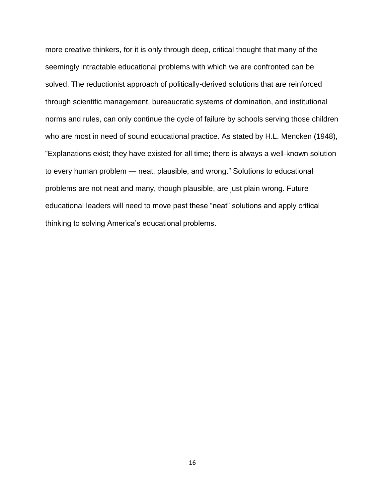more creative thinkers, for it is only through deep, critical thought that many of the seemingly intractable educational problems with which we are confronted can be solved. The reductionist approach of politically-derived solutions that are reinforced through scientific management, bureaucratic systems of domination, and institutional norms and rules, can only continue the cycle of failure by schools serving those children who are most in need of sound educational practice. As stated by H.L. Mencken (1948), ―Explanations exist; they have existed for all time; there is always a well-known solution to every human problem — neat, plausible, and wrong." Solutions to educational problems are not neat and many, though plausible, are just plain wrong. Future educational leaders will need to move past these "neat" solutions and apply critical thinking to solving America's educational problems.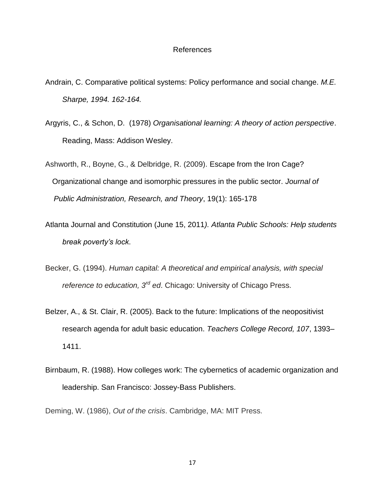# References

- Andrain, C. Comparative political systems: Policy performance and social change. *M.E. Sharpe, 1994. 162-164.*
- Argyris, C., & Schon, D. (1978) *Organisational learning: A theory of action perspective*. Reading, Mass: Addison Wesley.
- Ashworth, R., Boyne, G., & Delbridge, R. (2009). Escape from the Iron Cage? Organizational change and isomorphic pressures in the public sector. *Journal of Public Administration, Research, and Theory*, 19(1): 165-178
- Atlanta Journal and Constitution (June 15, 2011*). Atlanta Public Schools: Help students break poverty's lock*.
- Becker, G. (1994). *Human capital: A theoretical and empirical analysis, with special reference to education, 3rd ed*. Chicago: University of Chicago Press.
- Belzer, A., & St. Clair, R. (2005). Back to the future: Implications of the neopositivist research agenda for adult basic education. *Teachers College Record, 107*, 1393– 1411.
- Birnbaum, R. (1988). How colleges work: The cybernetics of academic organization and leadership. San Francisco: Jossey-Bass Publishers.

Deming, W. (1986), *Out of the crisis*. Cambridge, MA: MIT Press.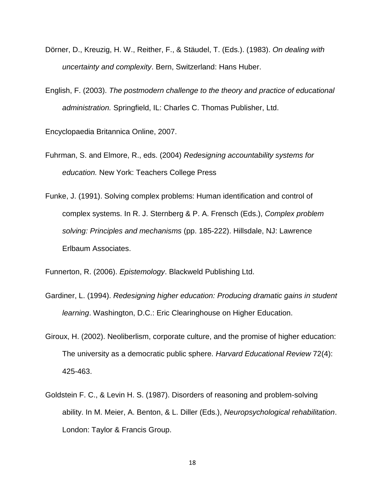- Dörner, D., Kreuzig, H. W., Reither, F., & Stäudel, T. (Eds.). (1983). *On dealing with uncertainty and complexity*. Bern, Switzerland: Hans Huber.
- English, F. (2003). *The postmodern challenge to the theory and practice of educational administration.* Springfield, IL: Charles C. Thomas Publisher, Ltd.

Encyclopaedia Britannica Online, 2007.

- Fuhrman, S. and Elmore, R., eds. (2004) *Redesigning accountability systems for education.* New York: Teachers College Press
- Funke, J. (1991). Solving complex problems: Human identification and control of complex systems. In R. J. Sternberg & P. A. Frensch (Eds.), *Complex problem solving: Principles and mechanisms* (pp. 185-222). Hillsdale, NJ: Lawrence Erlbaum Associates.

Funnerton, R. (2006). *Epistemology*. Blackweld Publishing Ltd.

- Gardiner, L. (1994). *Redesigning higher education: Producing dramatic gains in student learning*. Washington, D.C.: Eric Clearinghouse on Higher Education.
- Giroux, H. (2002). Neoliberlism, corporate culture, and the promise of higher education: The university as a democratic public sphere. *Harvard Educational Review* 72(4): 425-463.
- Goldstein F. C., & Levin H. S. (1987). Disorders of reasoning and problem-solving ability. In M. Meier, A. Benton, & L. Diller (Eds.), *Neuropsychological rehabilitation*. London: Taylor & Francis Group.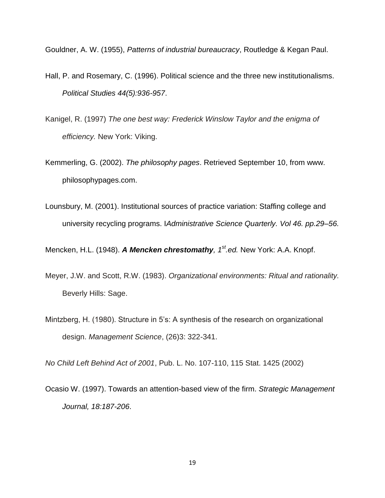Gouldner, A. W. (1955), *Patterns of industrial bureaucracy*, Routledge & Kegan Paul.

- Hall, P. and Rosemary, C. (1996). Political science and the three new institutionalisms. *Political Studies 44(5):936-957*.
- Kanigel, R. (1997) *The one best way: Frederick Winslow Taylor and the enigma of efficiency.* New York: Viking.
- Kemmerling, G. (2002). *The philosophy pages*. Retrieved September 10, from www. philosophypages.com.
- Lounsbury, M. (2001). Institutional sources of practice variation: Staffing college and university recycling programs. I*Administrative Science Quarterly. Vol 46. pp.29–56.*

Mencken, H.L. (1948). *A Mencken chrestomathy, 1st.ed.* New York: A.A. Knopf.

- Meyer, J.W. and Scott, R.W. (1983). *Organizational environments: Ritual and rationality.* Beverly Hills: Sage.
- Mintzberg, H. (1980). Structure in 5's: A synthesis of the research on organizational design. *Management Science*, (26)3: 322-341.

*No Child Left Behind Act of 2001*, Pub. L. No. 107-110, 115 Stat. 1425 (2002)

Ocasio W. (1997). Towards an attention-based view of the firm. *Strategic Management Journal, 18:187-206*.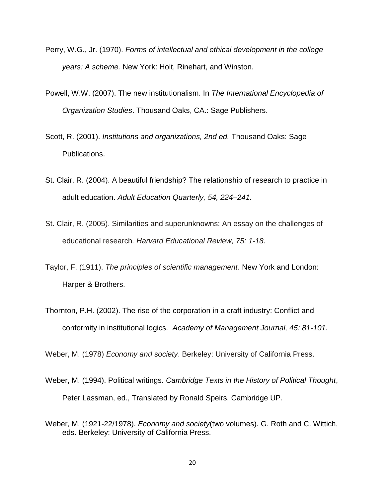- Perry, W.G., Jr. (1970). *Forms of intellectual and ethical development in the college years: A scheme.* New York: Holt, Rinehart, and Winston.
- Powell, W.W. (2007). The new institutionalism. In *The International Encyclopedia of Organization Studies*. Thousand Oaks, CA.: Sage Publishers.
- Scott, R. (2001). *Institutions and organizations, 2nd ed.* Thousand Oaks: Sage Publications.
- St. Clair, R. (2004). A beautiful friendship? The relationship of research to practice in adult education. *Adult Education Quarterly, 54, 224–241.*
- St. Clair, R. (2005). Similarities and superunknowns: An essay on the challenges of educational research*. Harvard Educational Review, 75: 1-18*.
- Taylor, F. (1911). *The principles of scientific management*. New York and London: Harper & Brothers.
- Thornton, P.H. (2002). The rise of the corporation in a craft industry: Conflict and conformity in institutional logics*. Academy of Management Journal, 45: 81-101.*

Weber, M. (1978) *Economy and society*. Berkeley: University of California Press.

- Weber, M. (1994). Political writings. *Cambridge Texts in the History of Political Thought*, Peter Lassman, ed., Translated by Ronald Speirs. Cambridge UP.
- Weber, M. (1921-22/1978). *Economy and society*(two volumes). G. Roth and C. Wittich, eds. Berkeley: University of California Press.